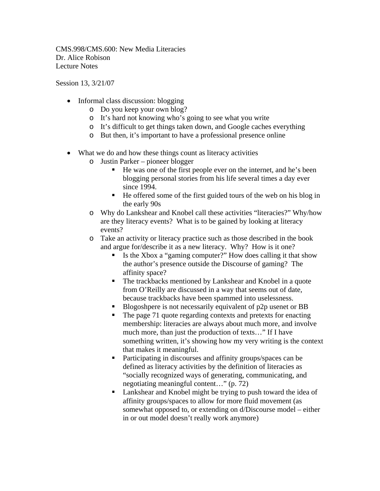CMS.998/CMS.600: New Media Literacies Dr. Alice Robison Lecture Notes

Session 13, 3/21/07

- Informal class discussion: blogging
	- o Do you keep your own blog?
	- o It's hard not knowing who's going to see what you write
	- o It's difficult to get things taken down, and Google caches everything
	- o But then, it's important to have a professional presence online
- What we do and how these things count as literacy activities
	- o Justin Parker pioneer blogger
		- He was one of the first people ever on the internet, and he's been blogging personal stories from his life several times a day ever since 1994.
		- He offered some of the first guided tours of the web on his blog in the early 90s
	- o Why do Lankshear and Knobel call these activities "literacies?" Why/how are they literacy events? What is to be gained by looking at literacy events?
	- o Take an activity or literacy practice such as those described in the book and argue for/describe it as a new literacy. Why? How is it one?
		- Is the Xbox a "gaming computer?" How does calling it that show the author's presence outside the Discourse of gaming? The affinity space?
		- The trackbacks mentioned by Lankshear and Knobel in a quote from O'Reilly are discussed in a way that seems out of date, because trackbacks have been spammed into uselessness.
		- Blogoshpere is not necessarily equivalent of p2p usenet or BB
		- The page 71 quote regarding contexts and pretexts for enacting membership: literacies are always about much more, and involve much more, than just the production of texts…" If I have something written, it's showing how my very writing is the context that makes it meaningful.
		- **Participating in discourses and affinity groups/spaces can be** defined as literacy activities by the definition of literacies as "socially recognized ways of generating, communicating, and negotiating meaningful content…" (p. 72)
		- **Lankshear and Knobel might be trying to push toward the idea of** affinity groups/spaces to allow for more fluid movement (as somewhat opposed to, or extending on d/Discourse model – either in or out model doesn't really work anymore)